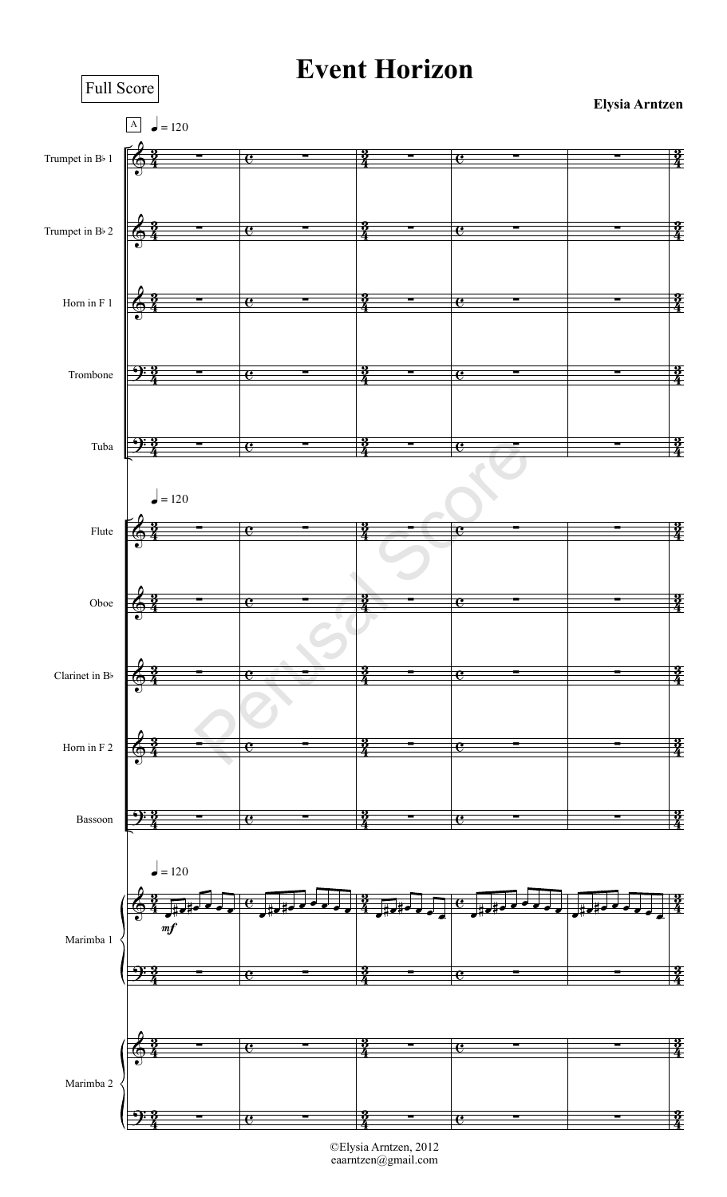

<sup>©</sup>Elysia Arntzen, 2012 eaarntzen@gmail.com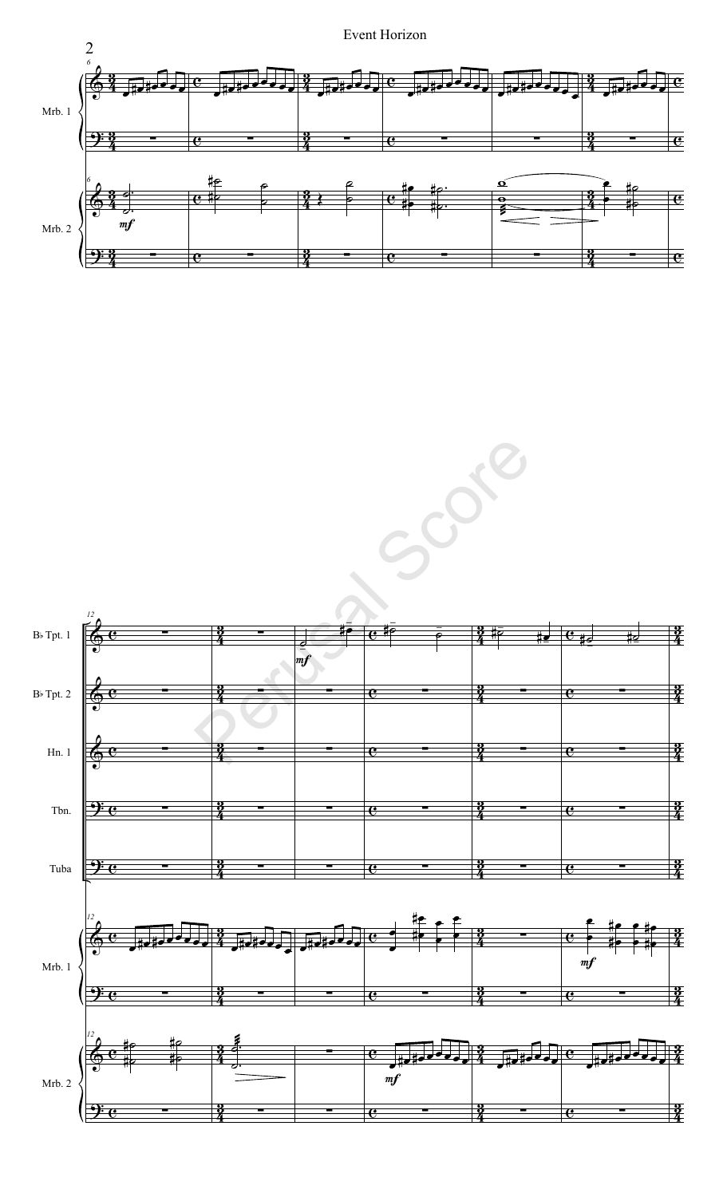

Scotla

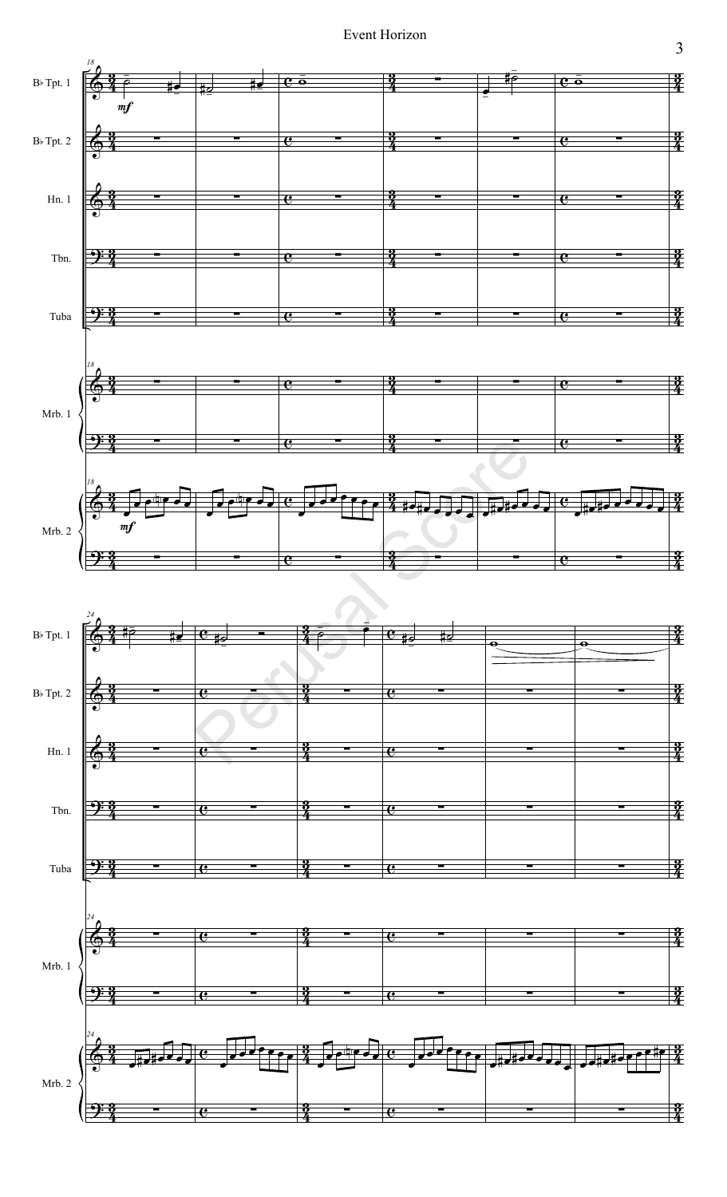

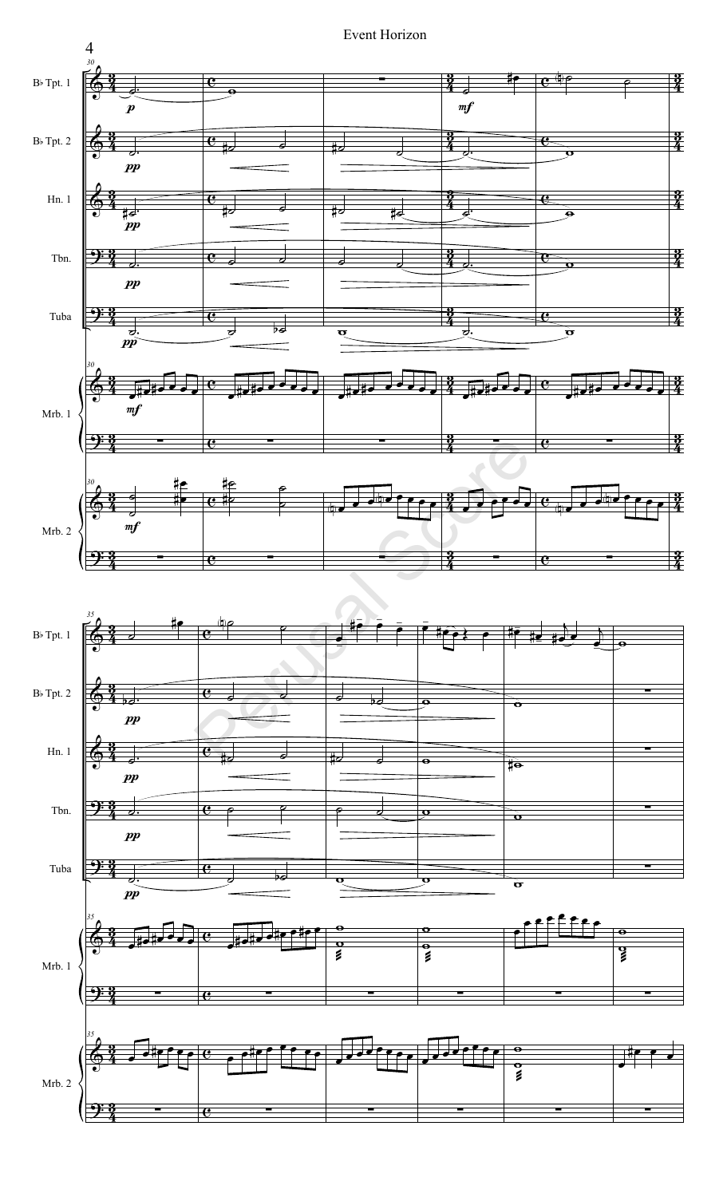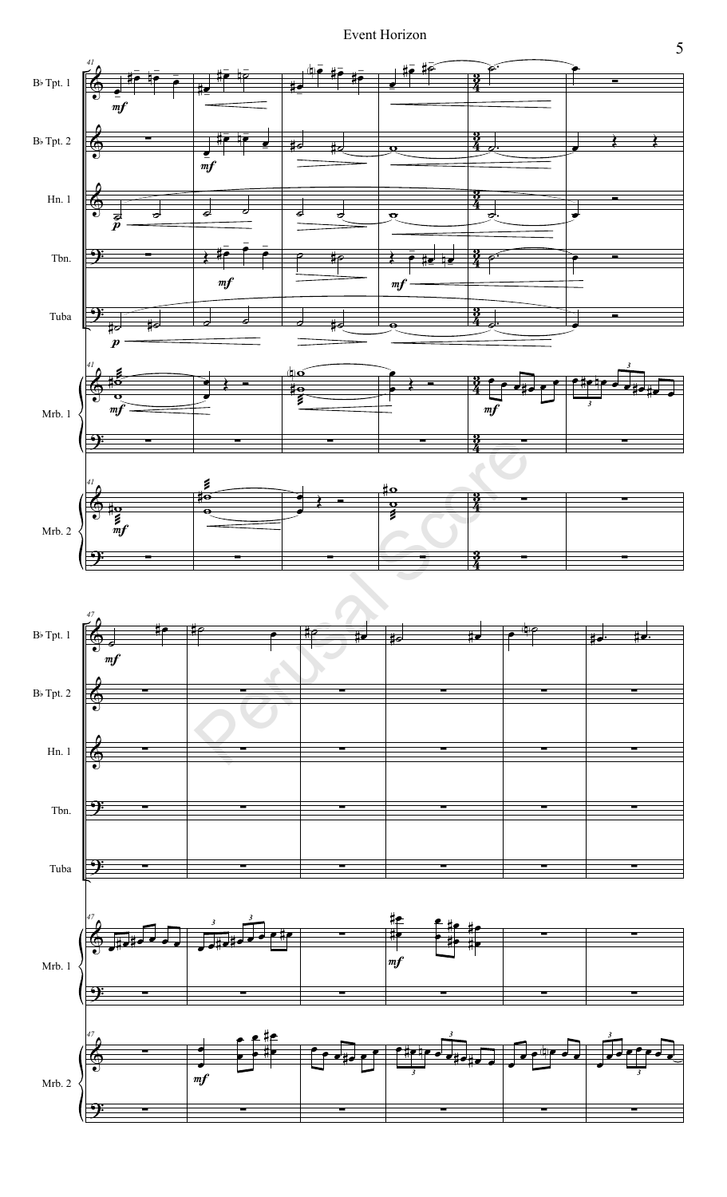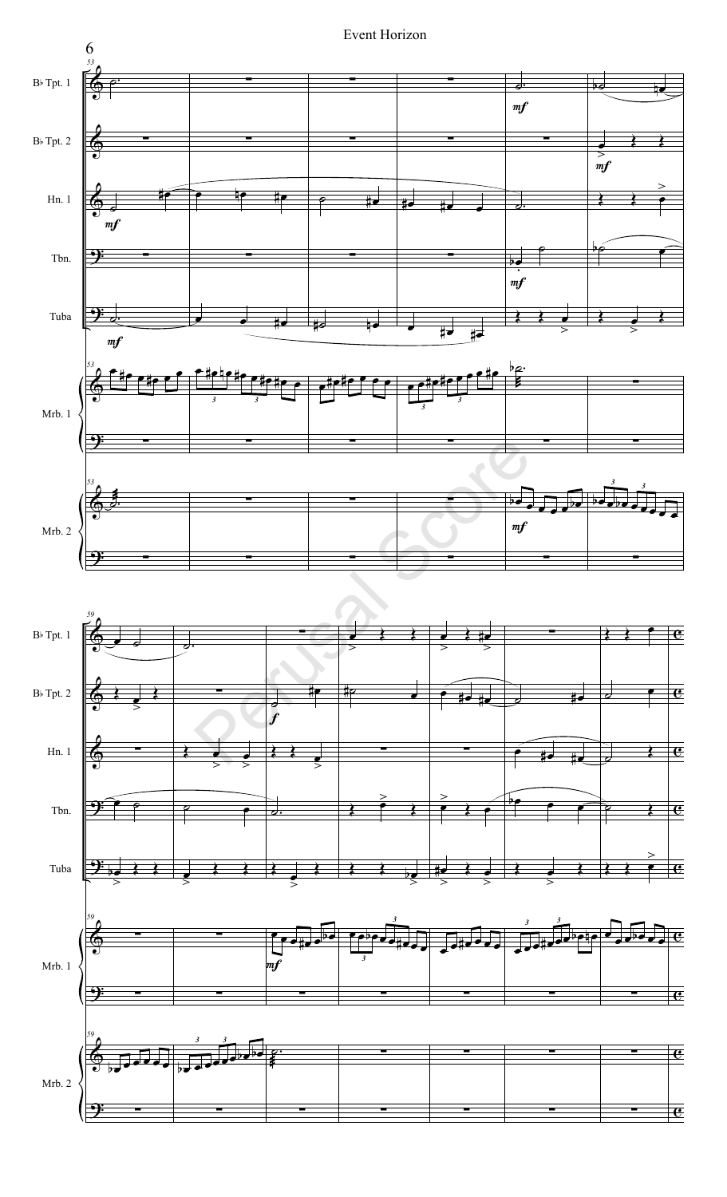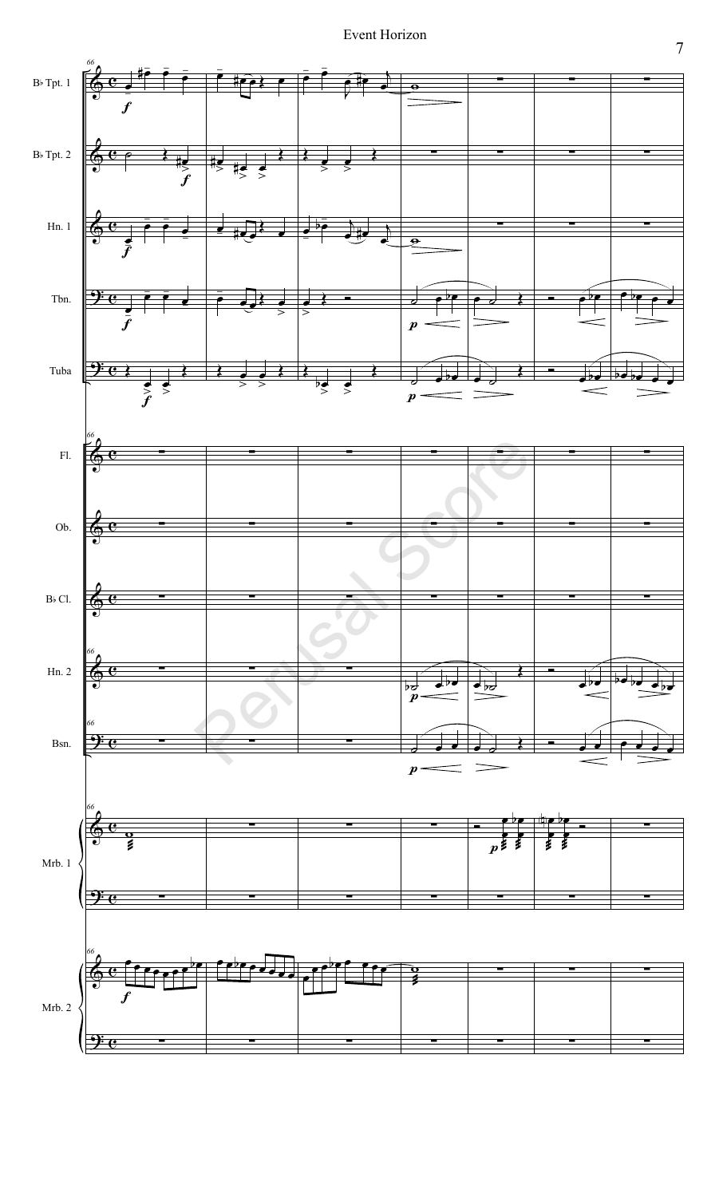

 $\overline{7}$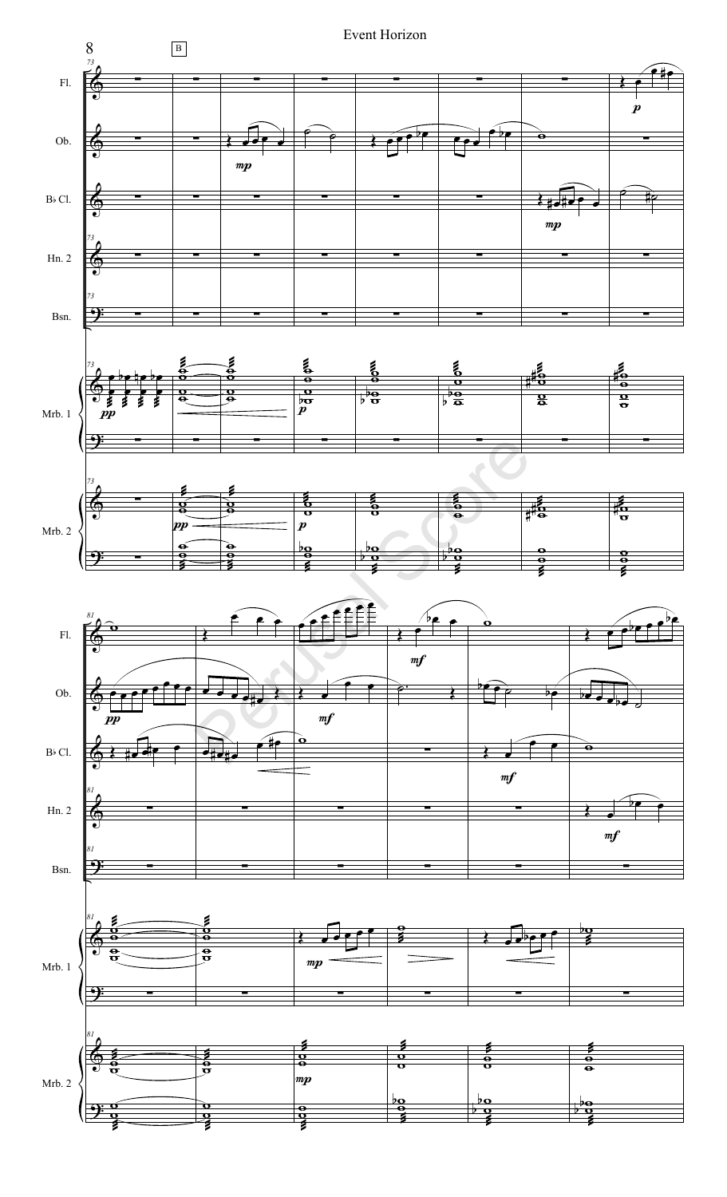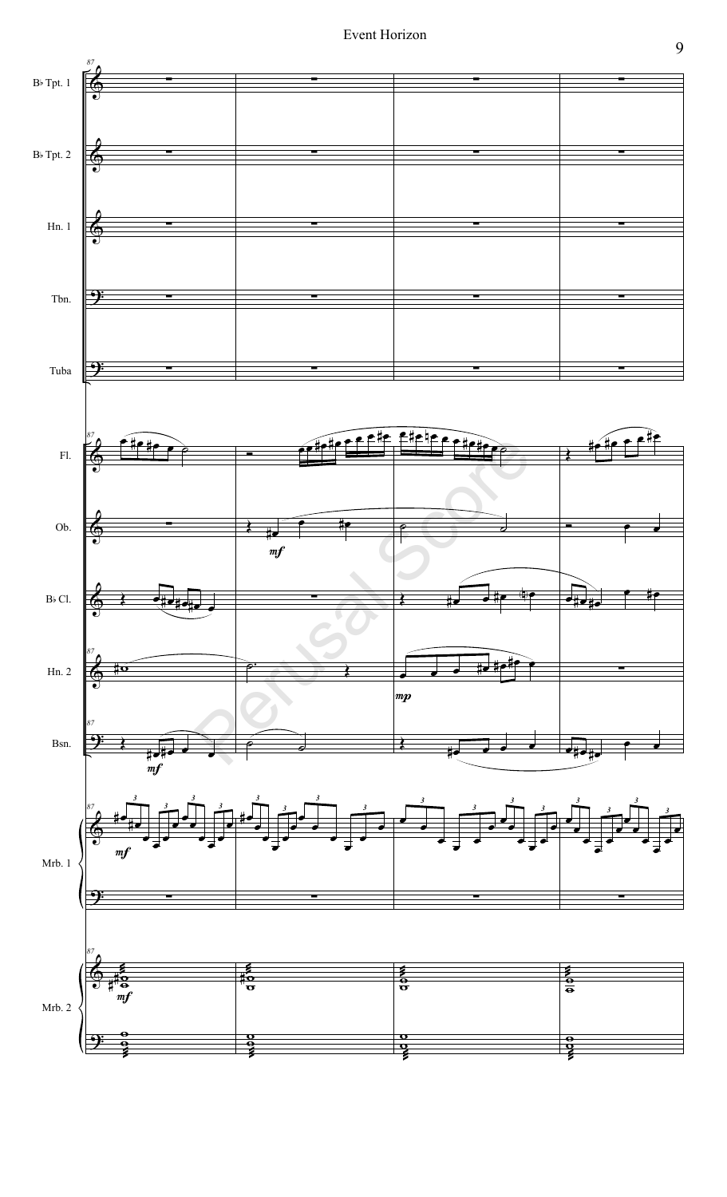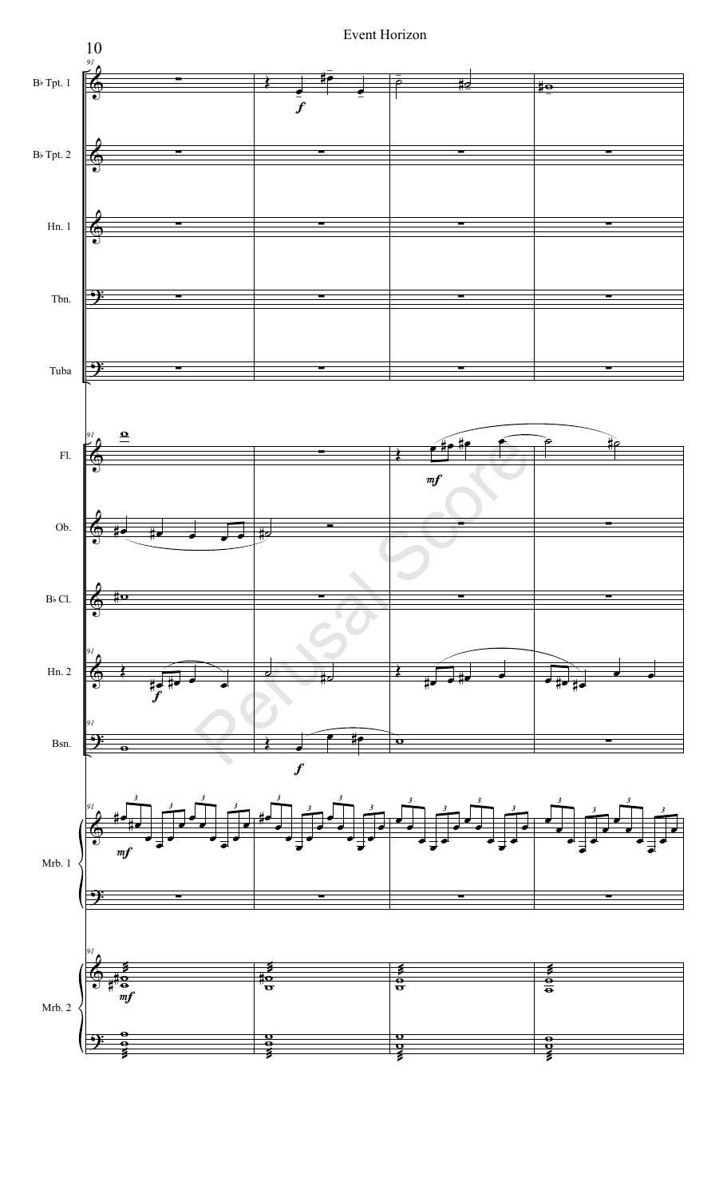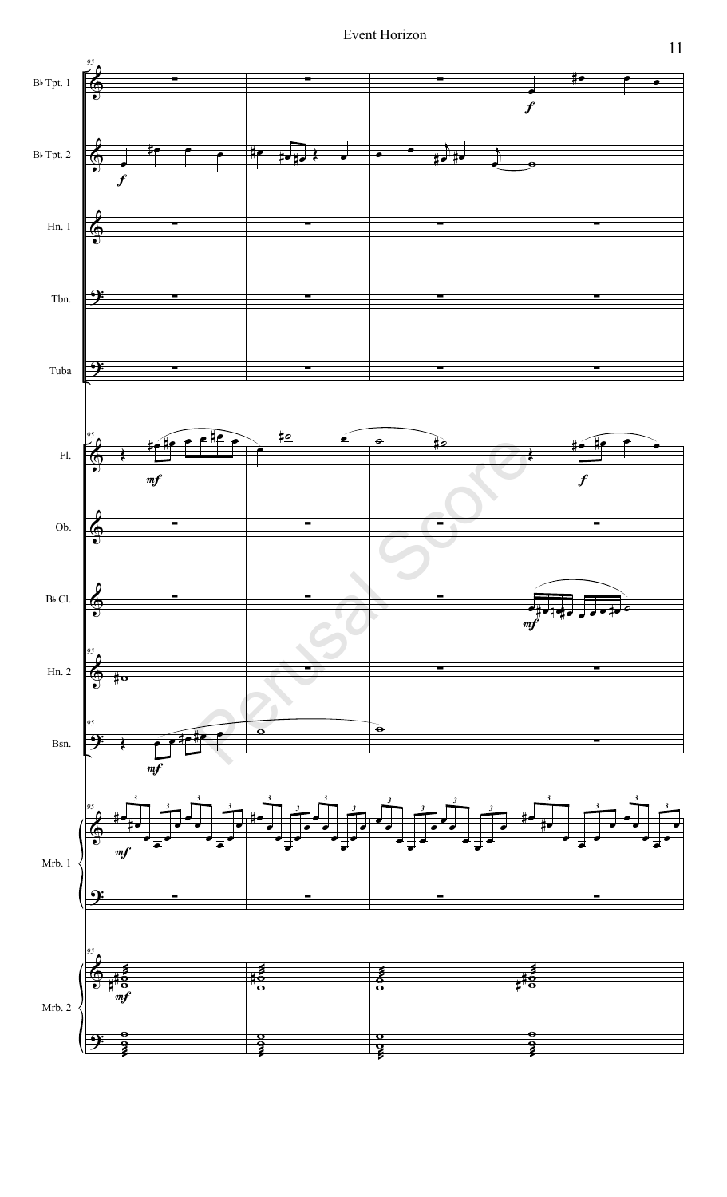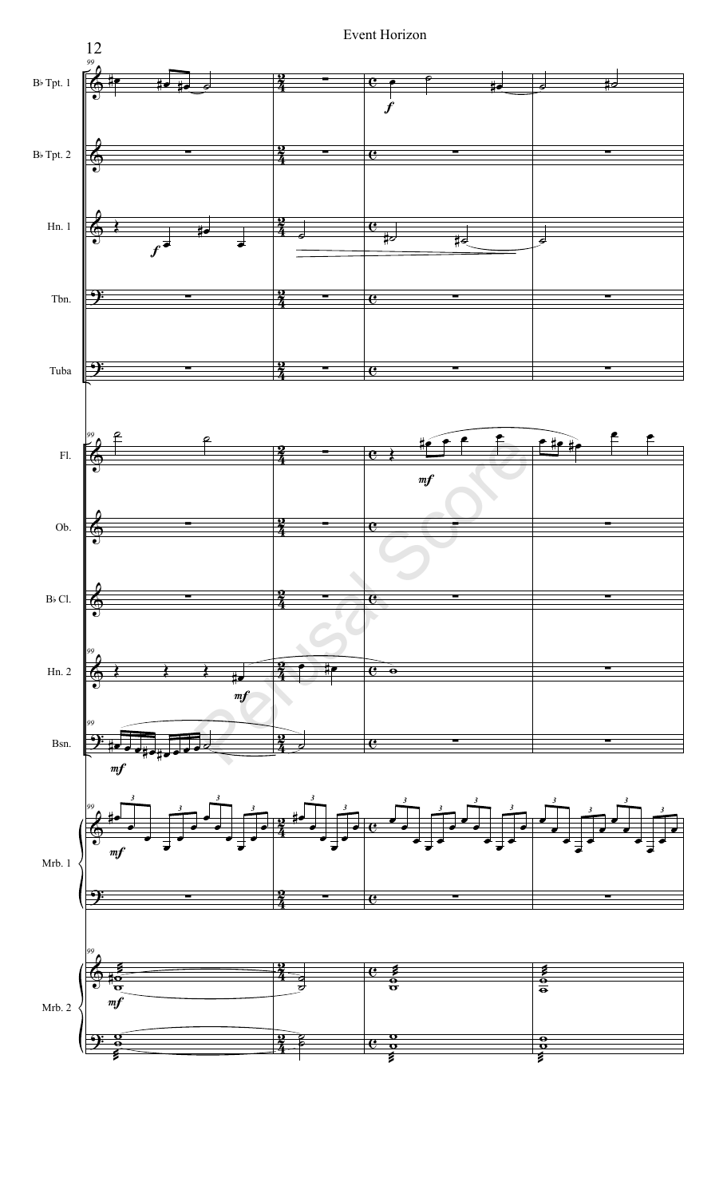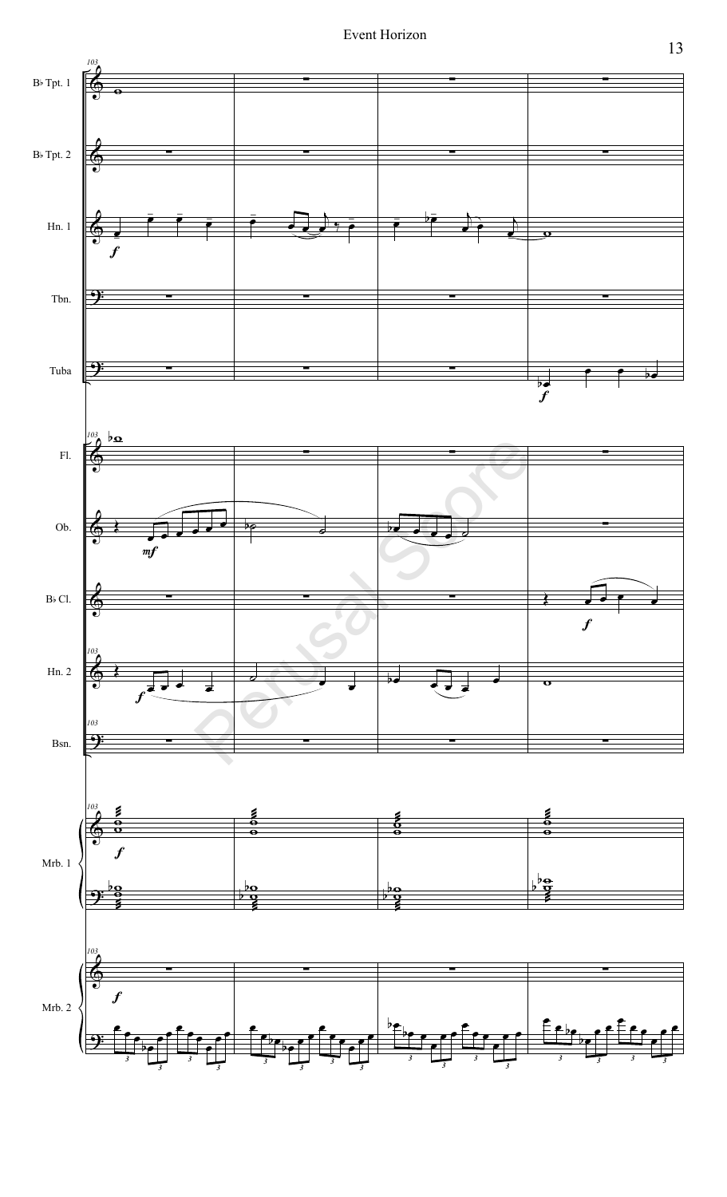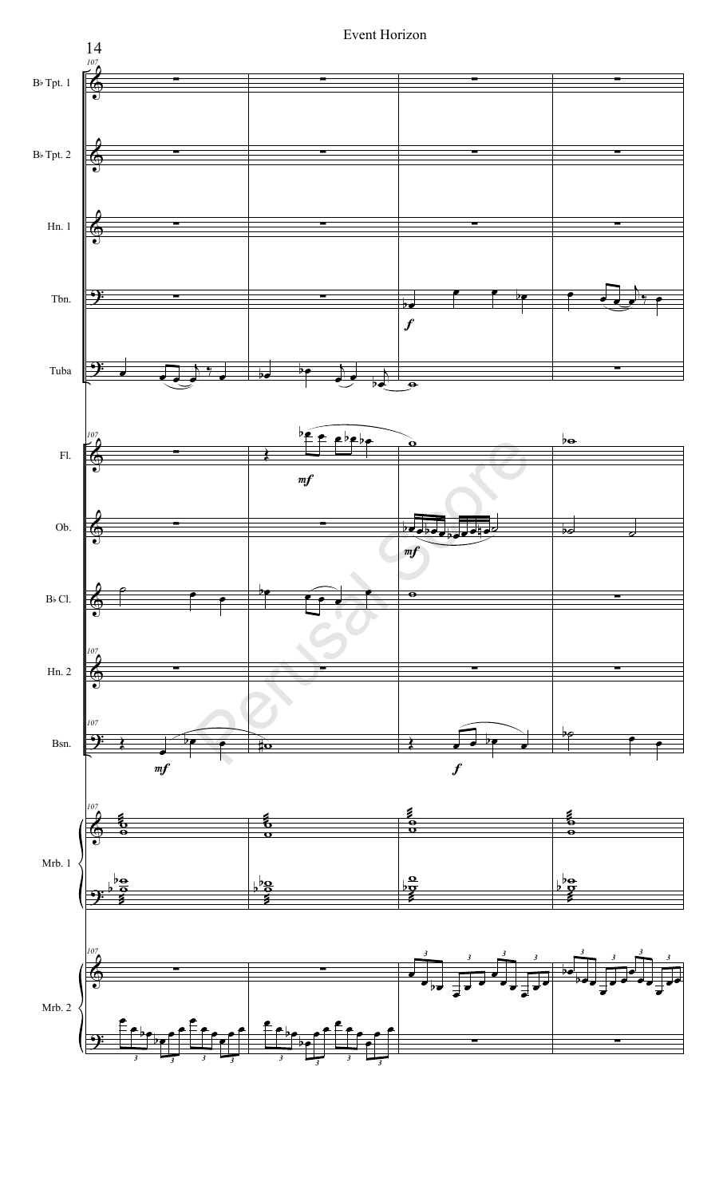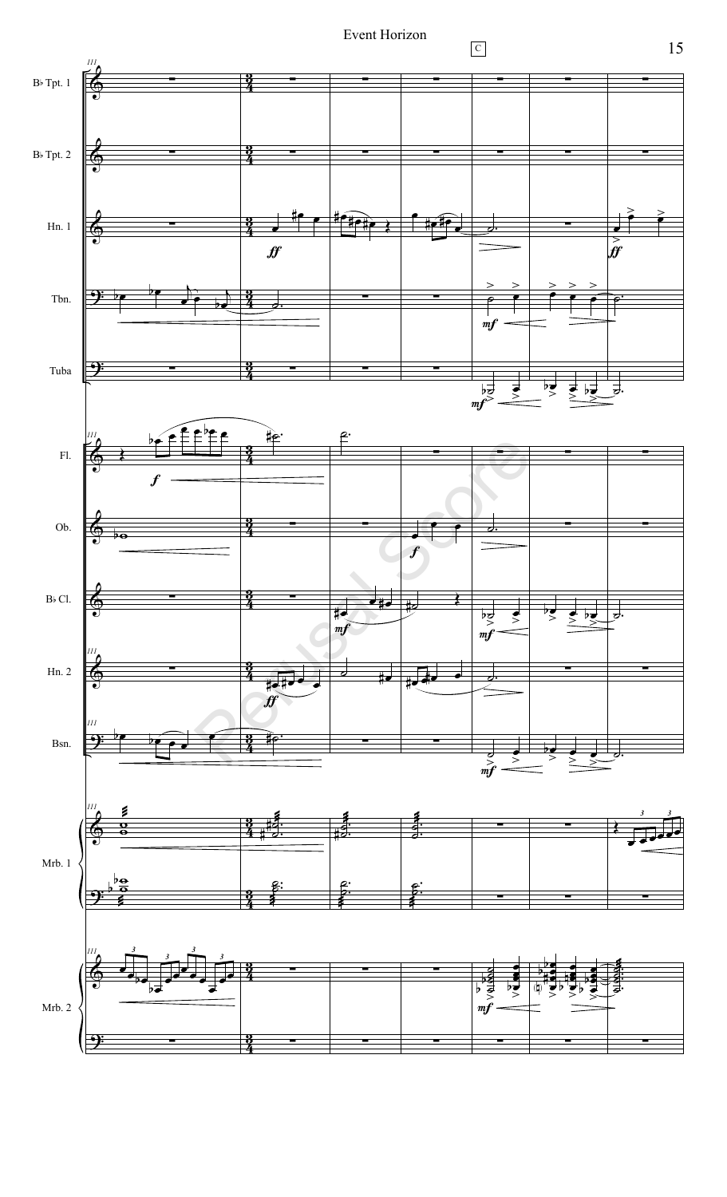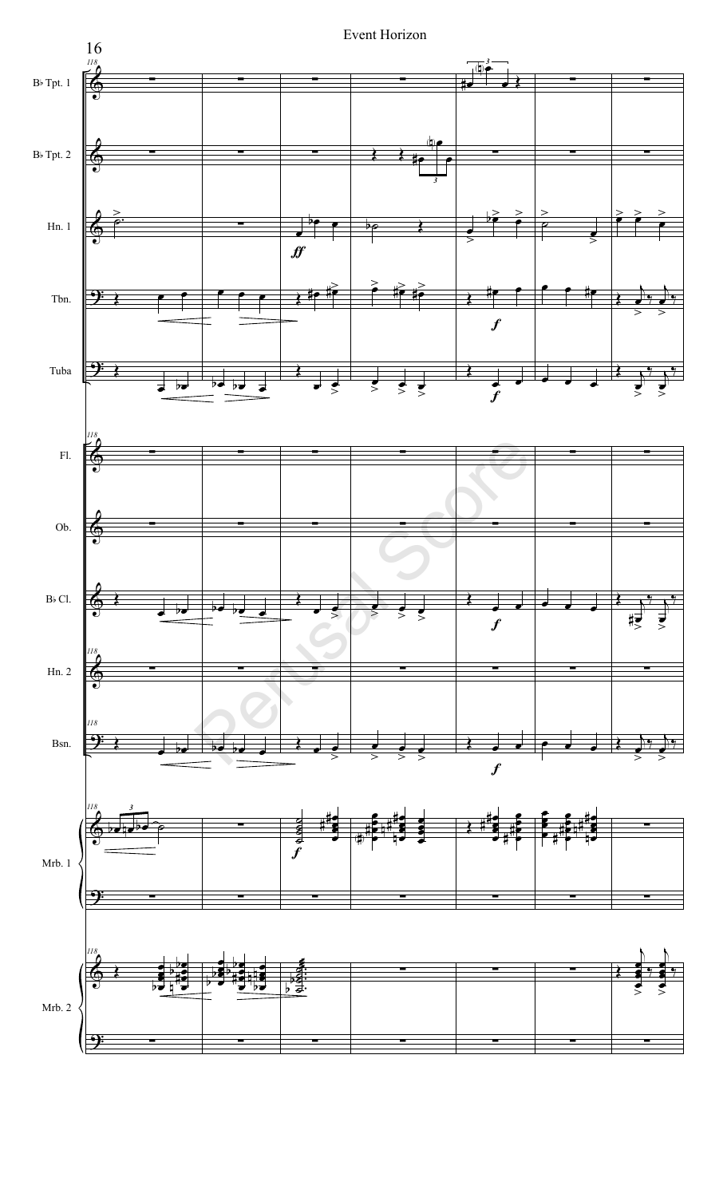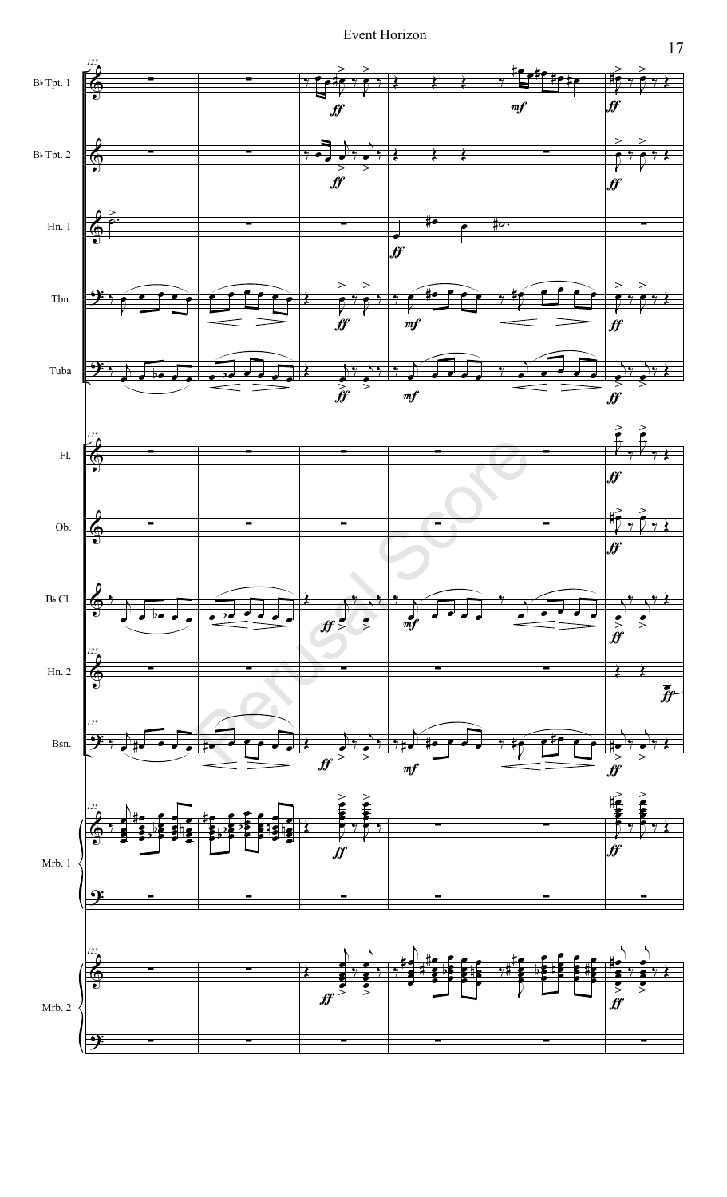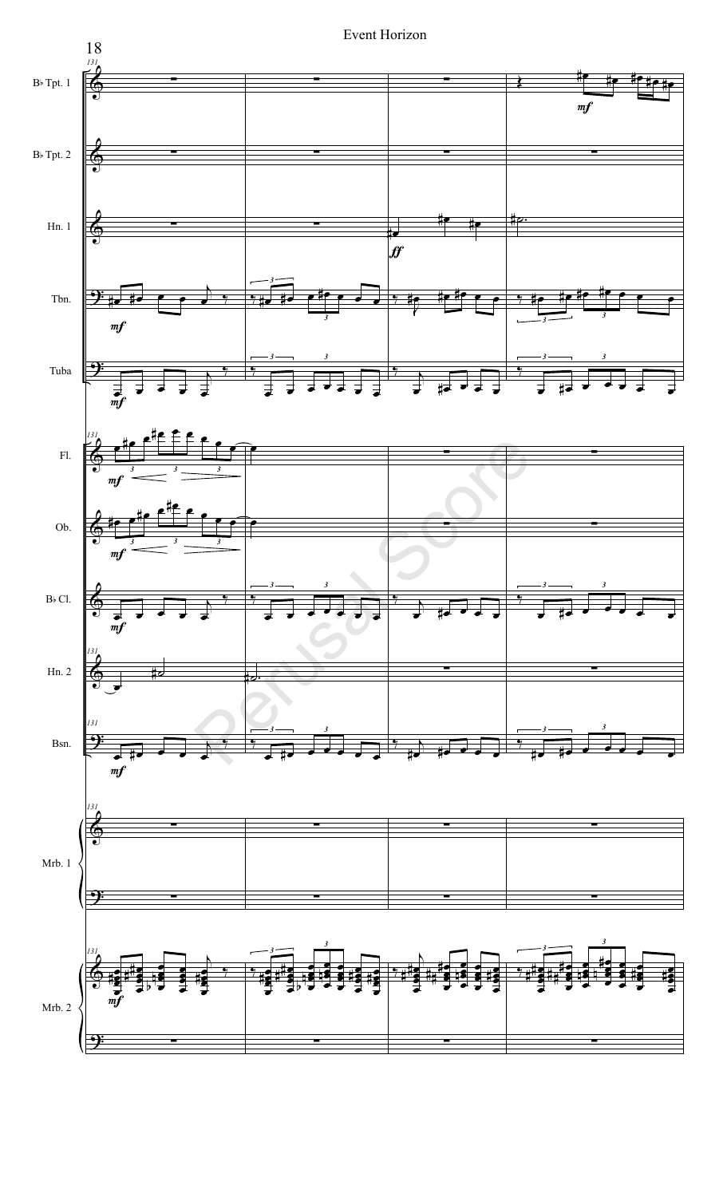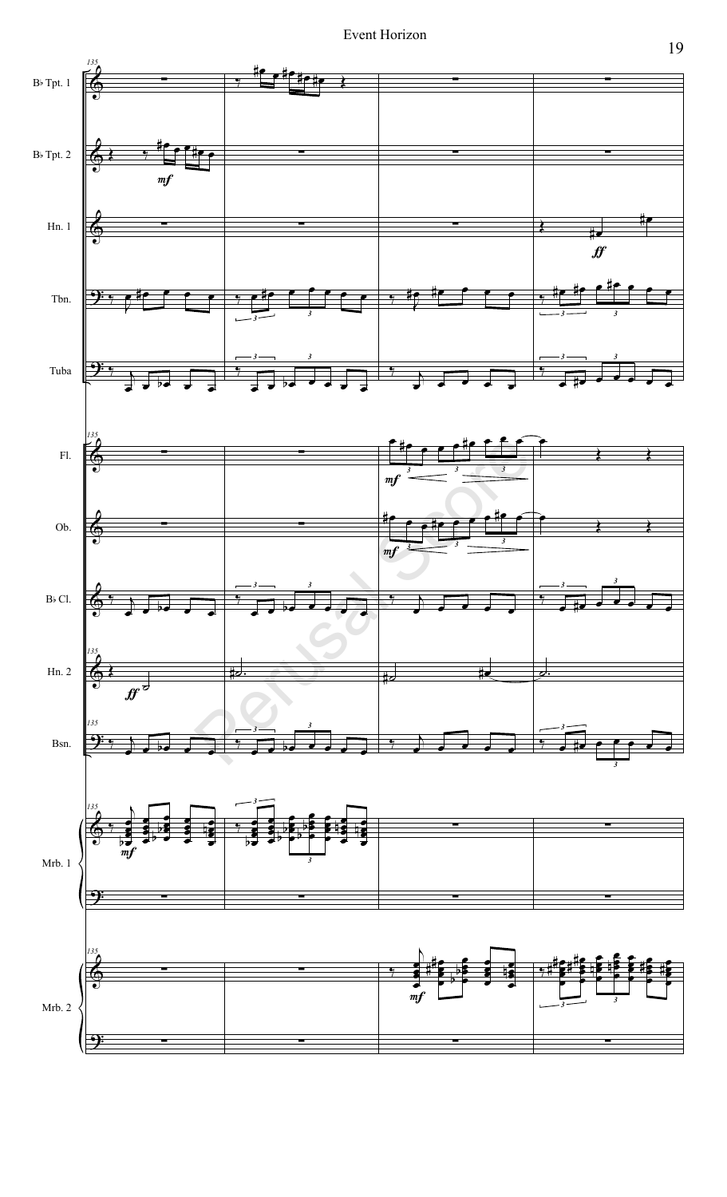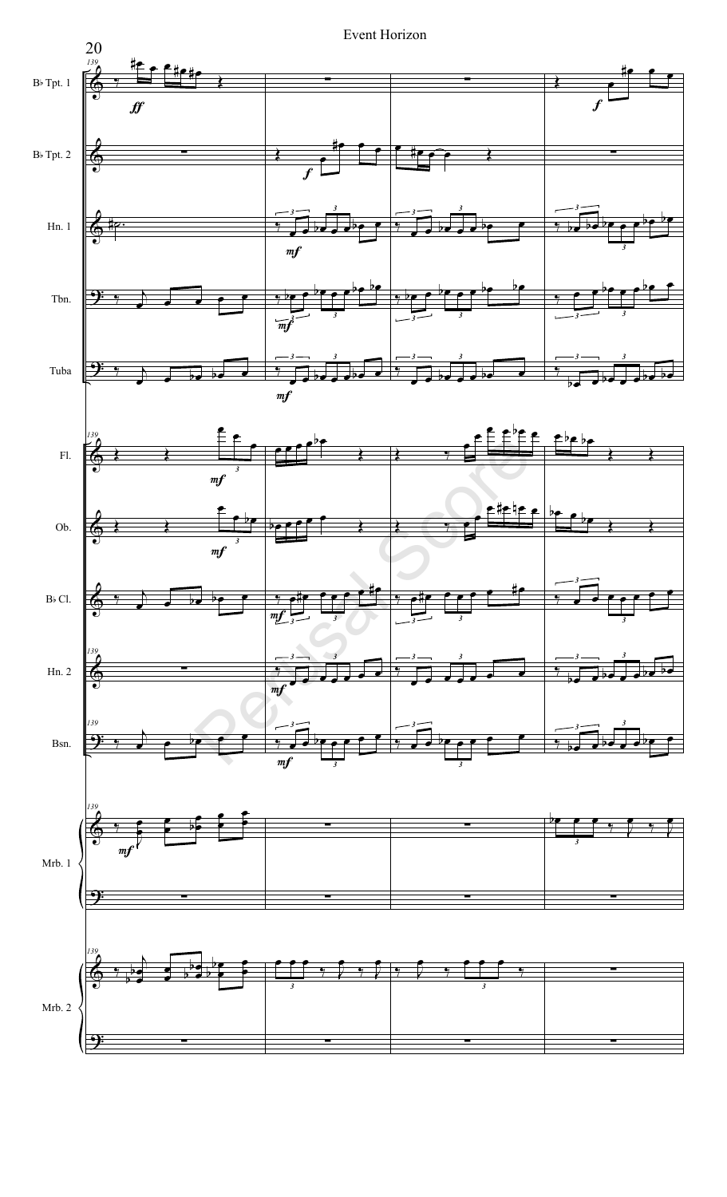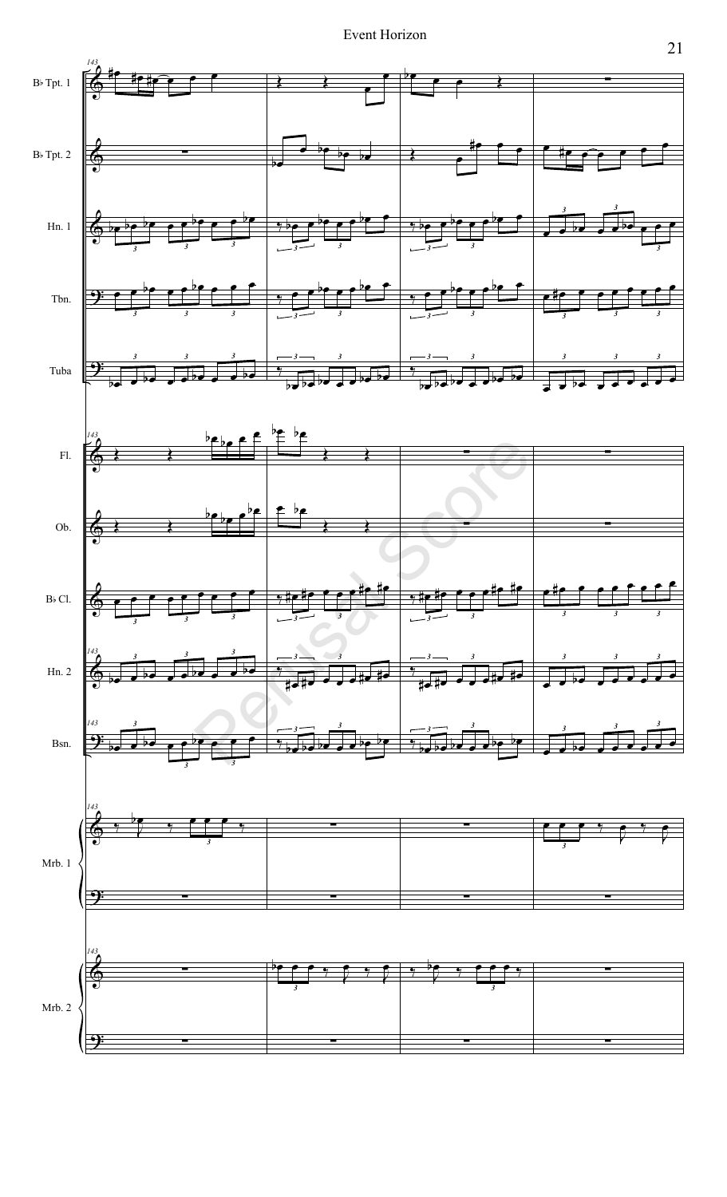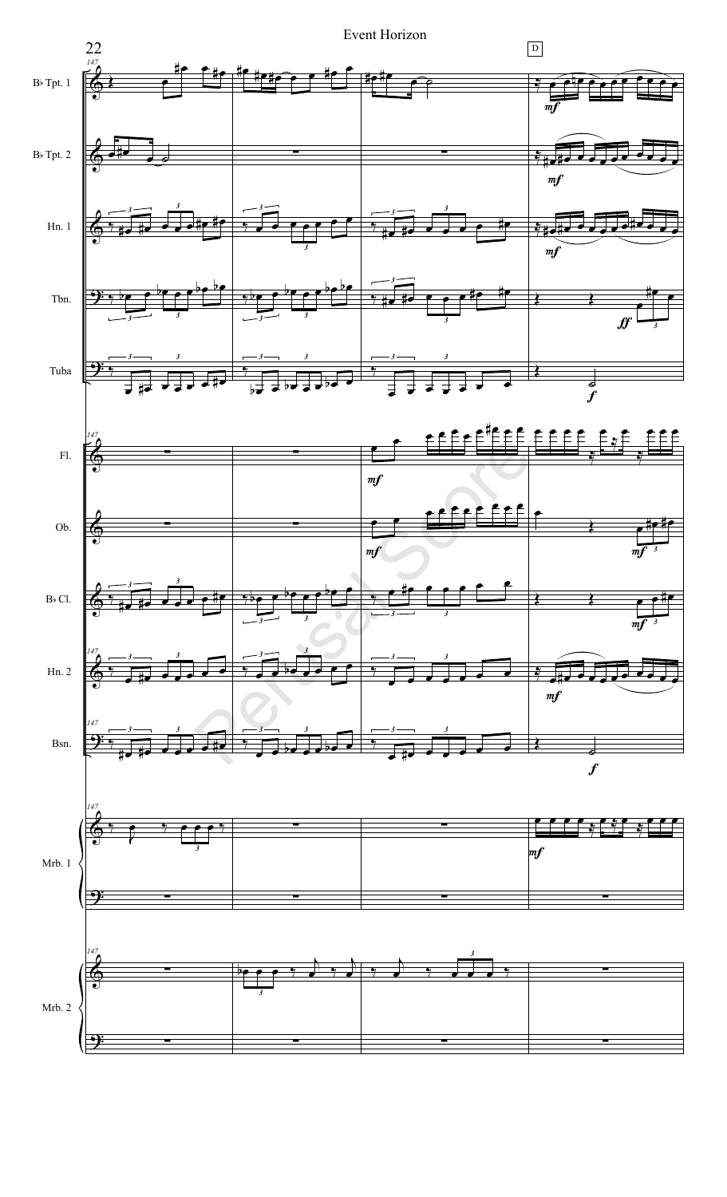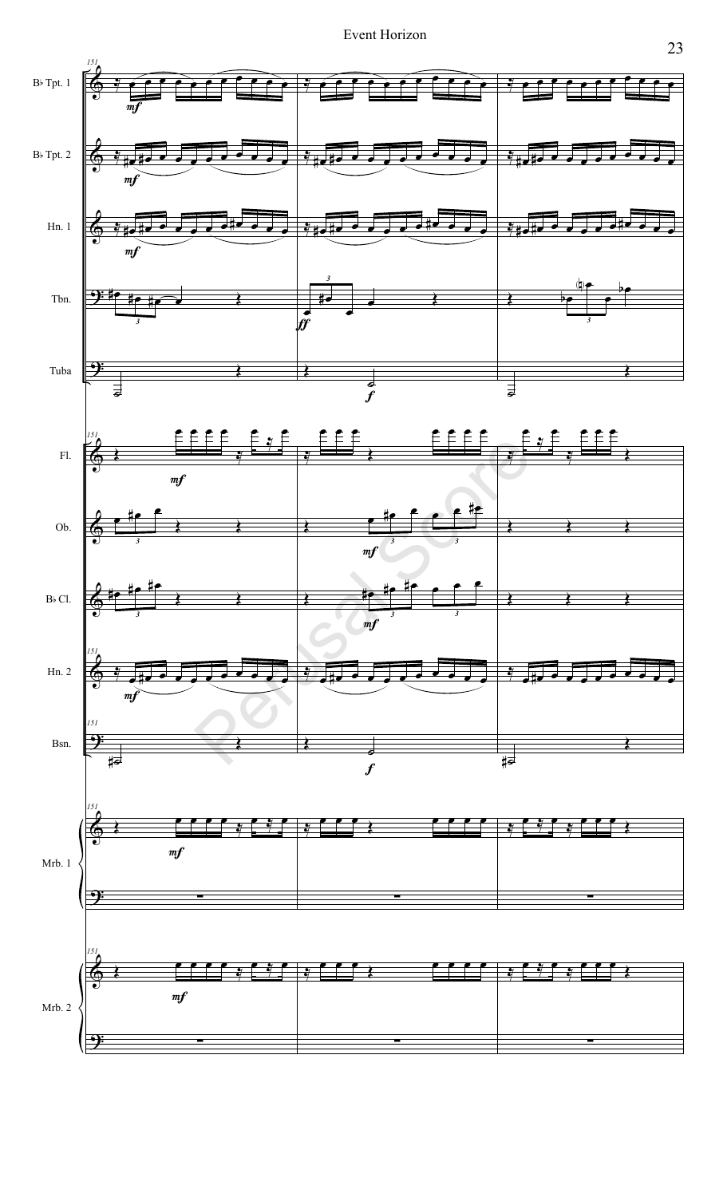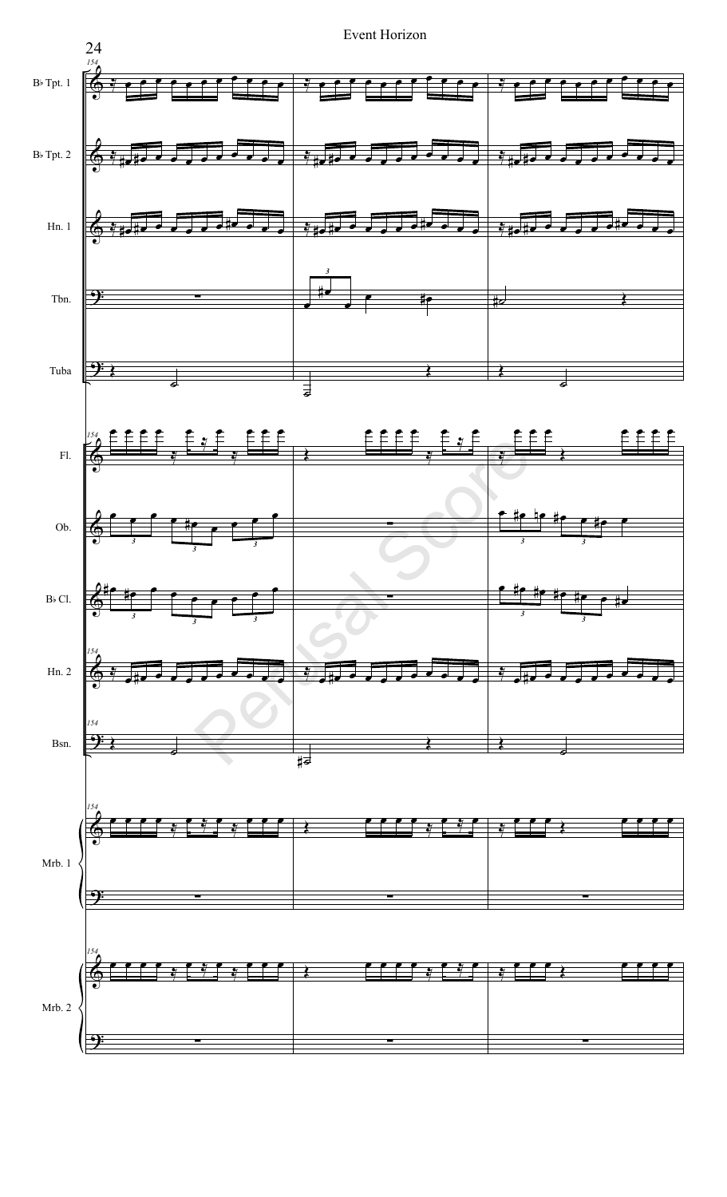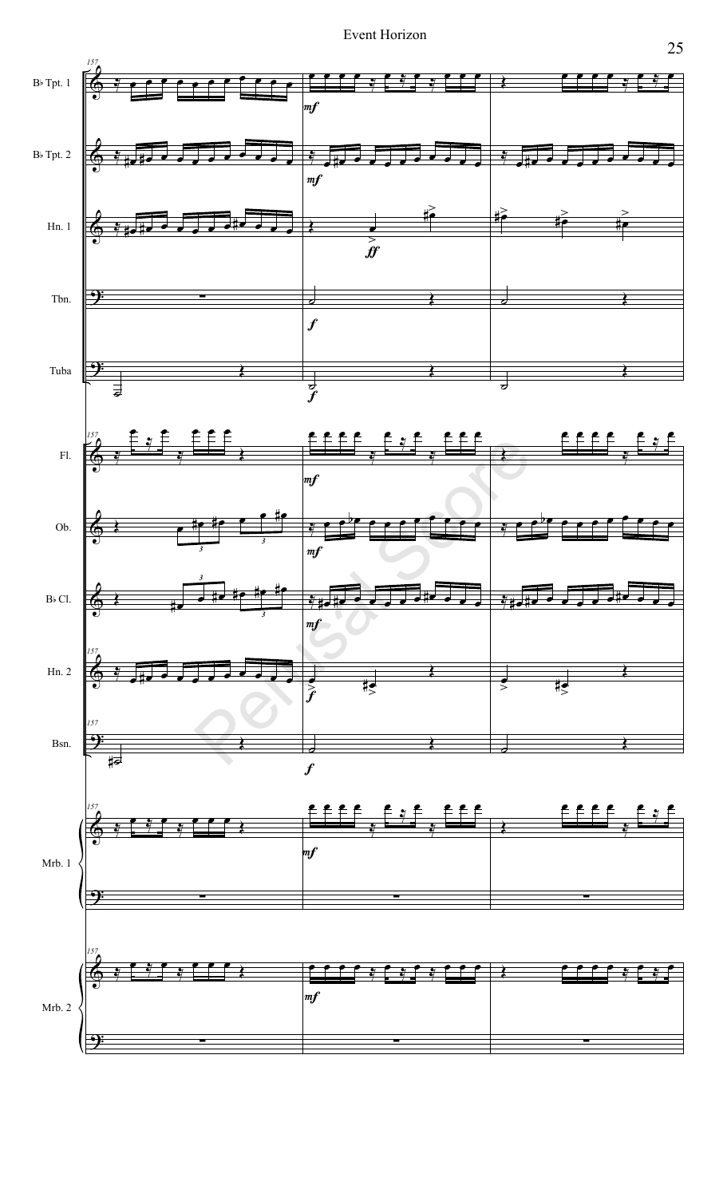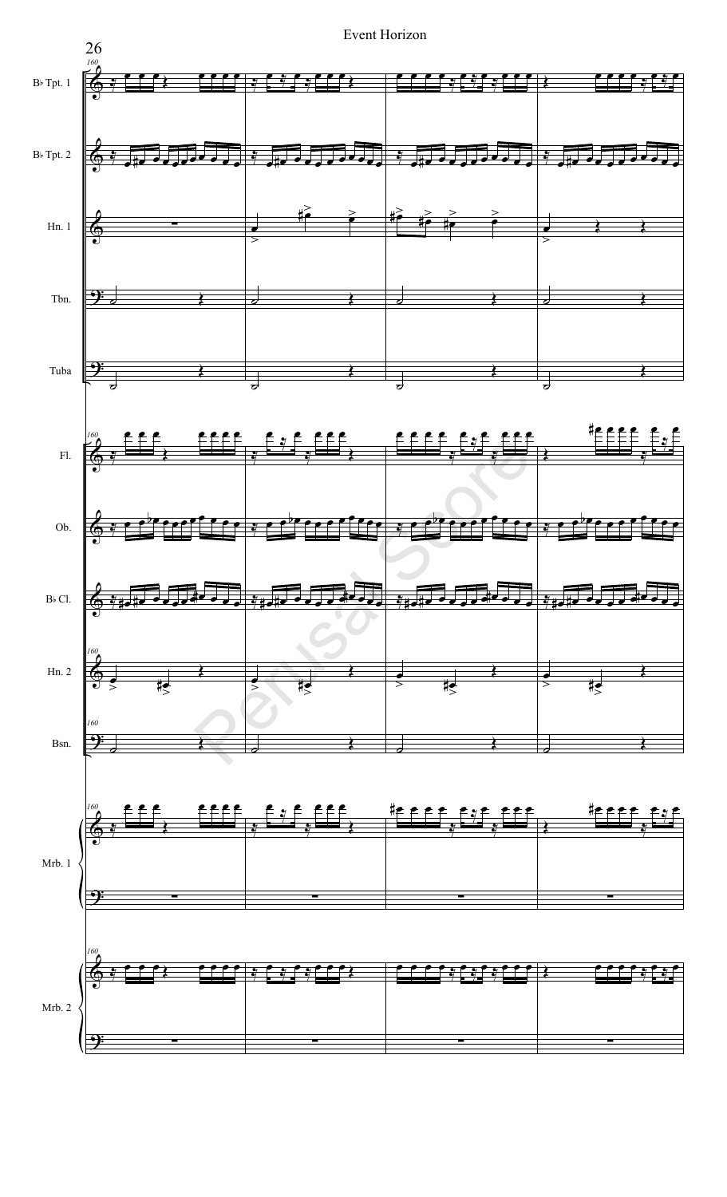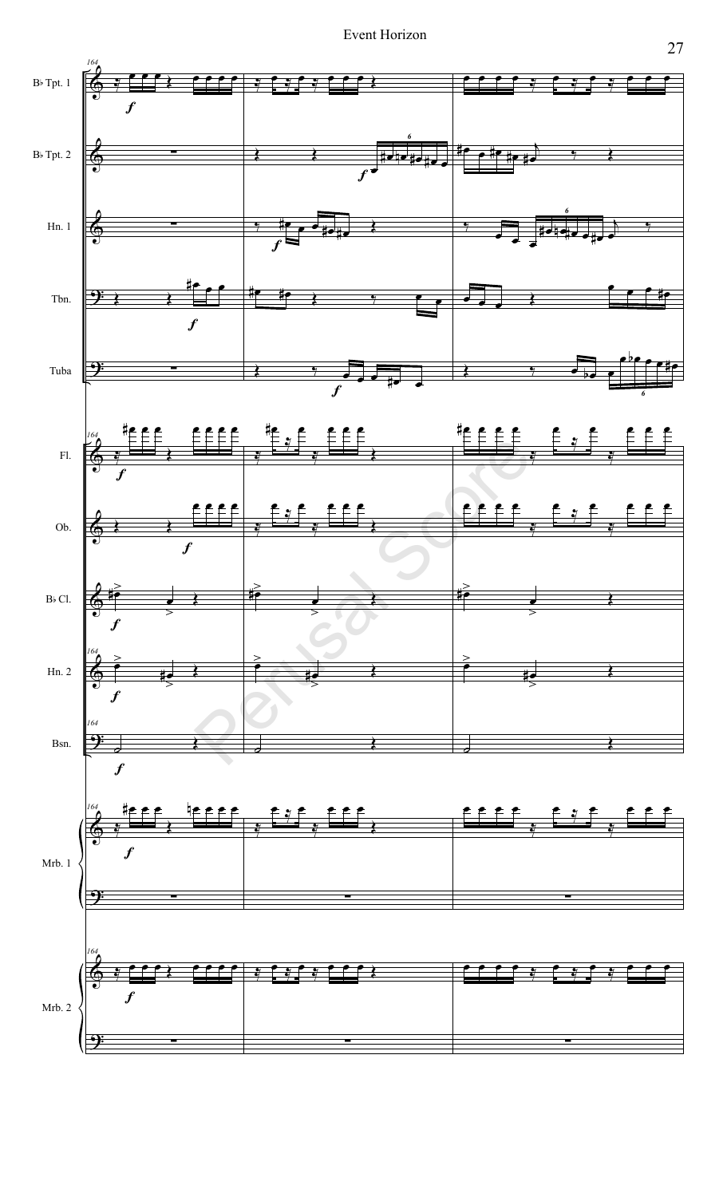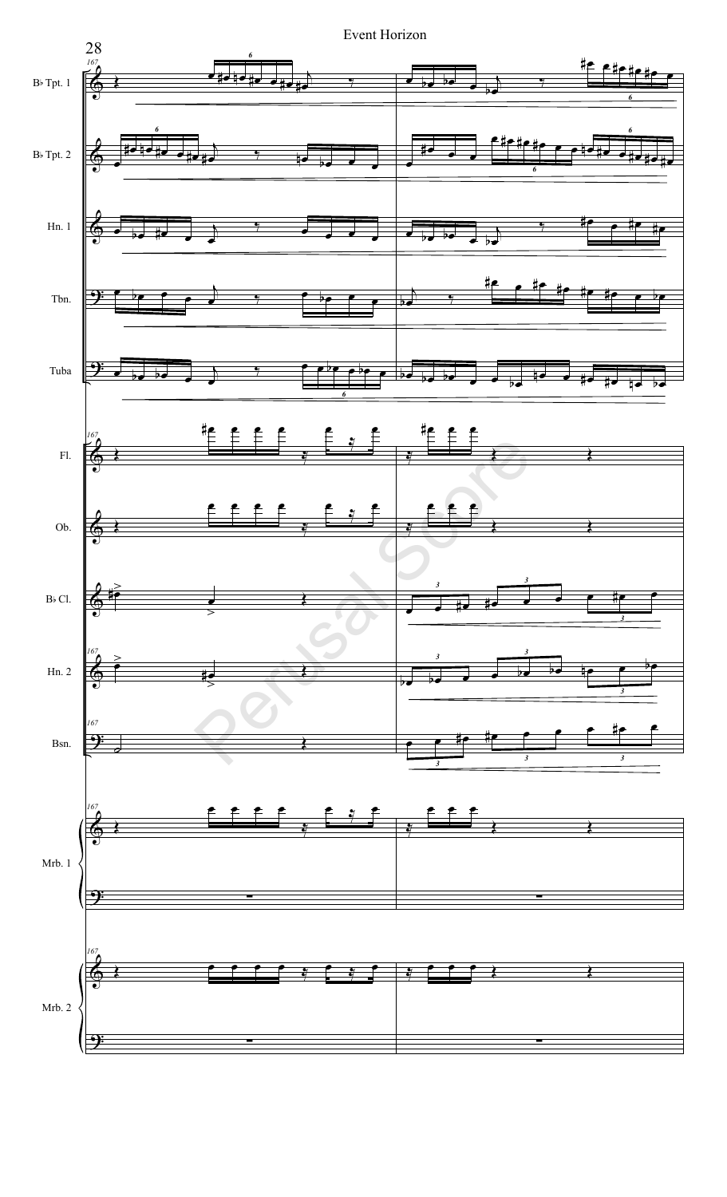Event Horizon

![](_page_27_Figure_1.jpeg)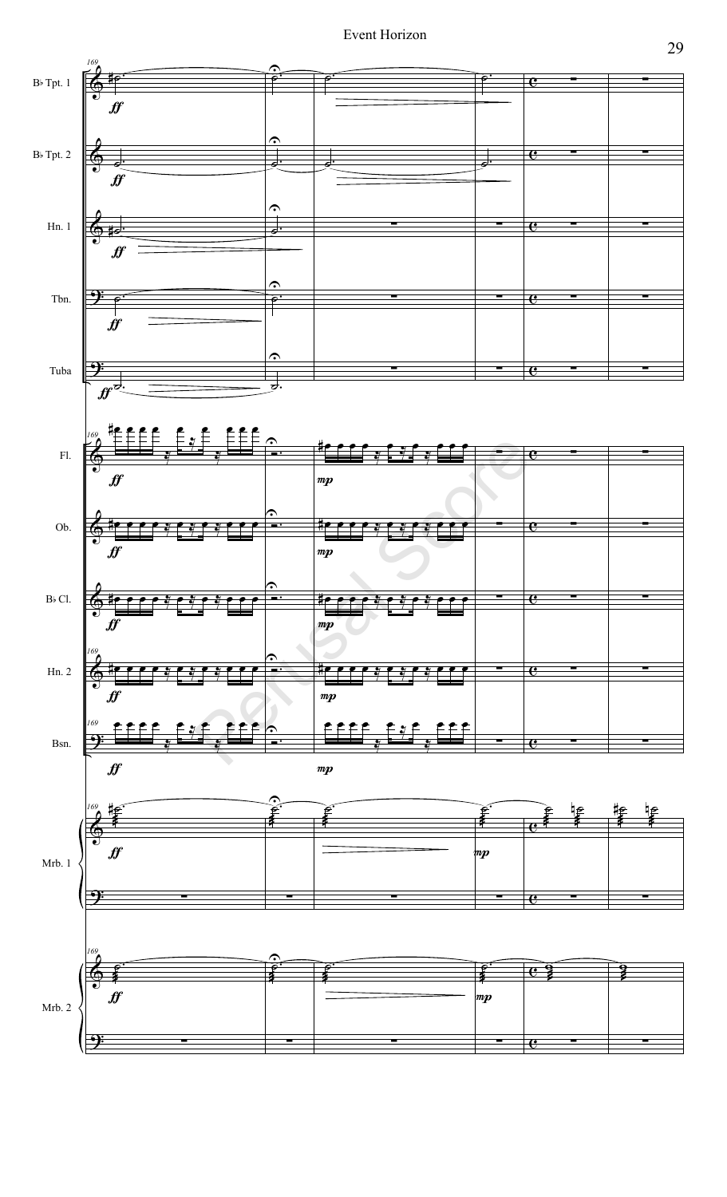![](_page_28_Figure_1.jpeg)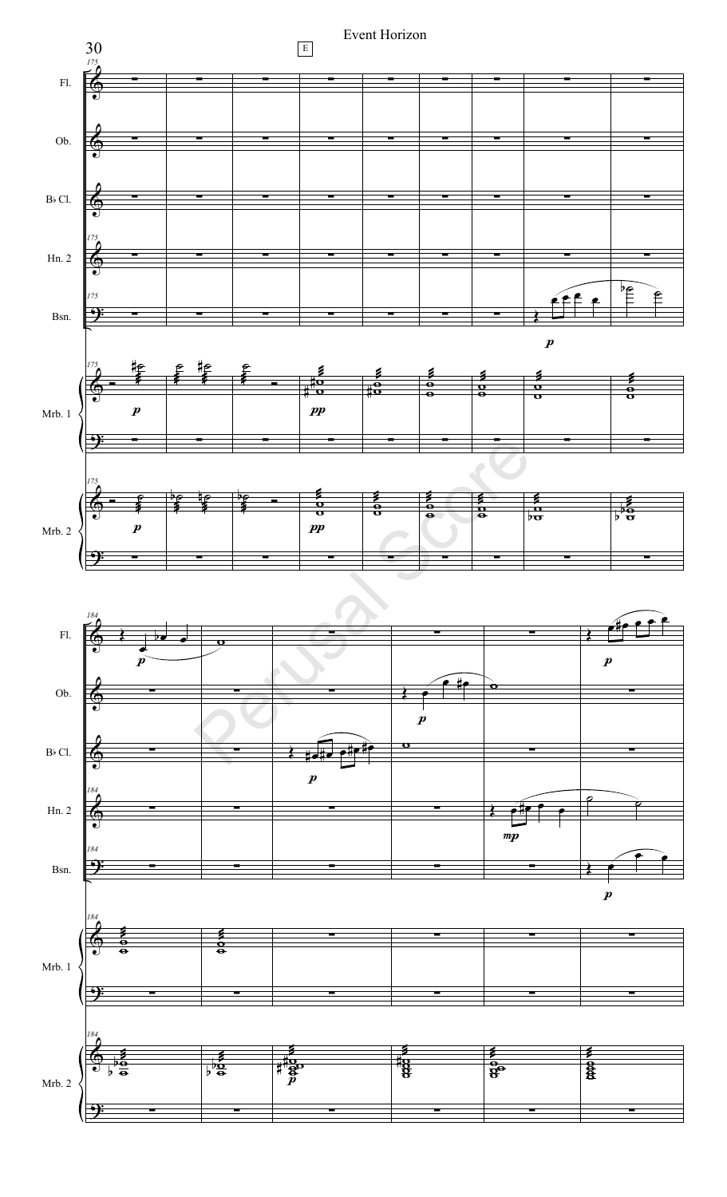![](_page_29_Figure_0.jpeg)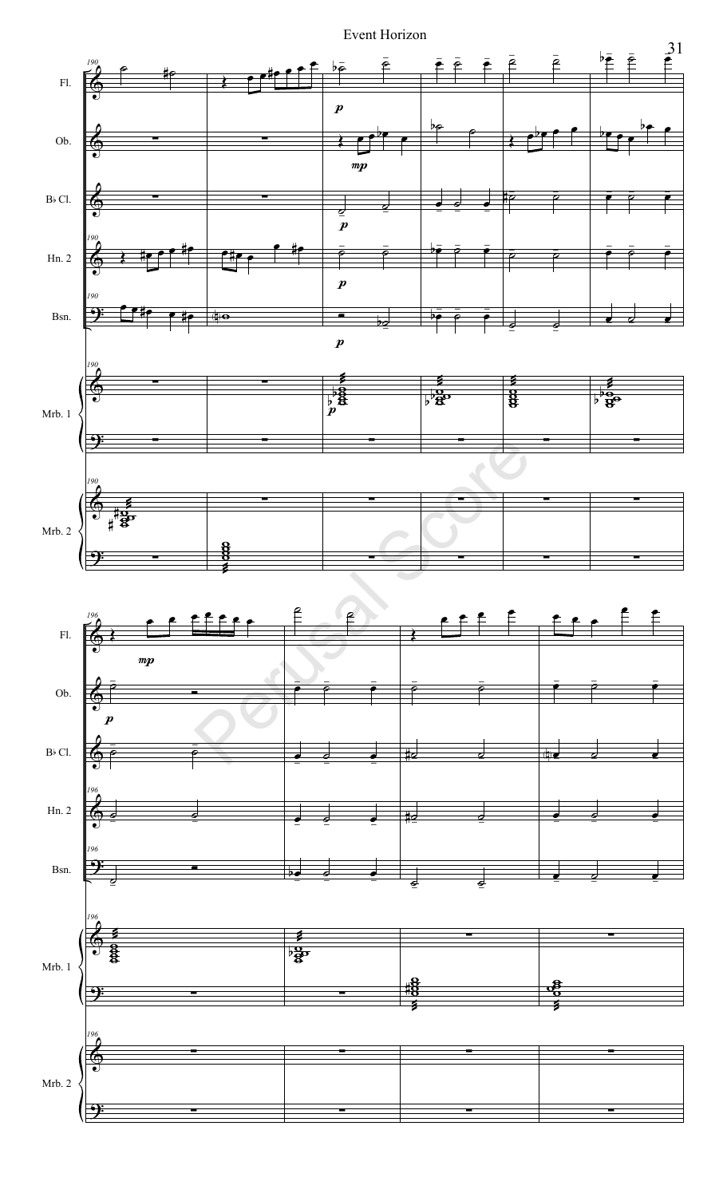![](_page_30_Figure_1.jpeg)

![](_page_30_Figure_2.jpeg)

![](_page_30_Figure_3.jpeg)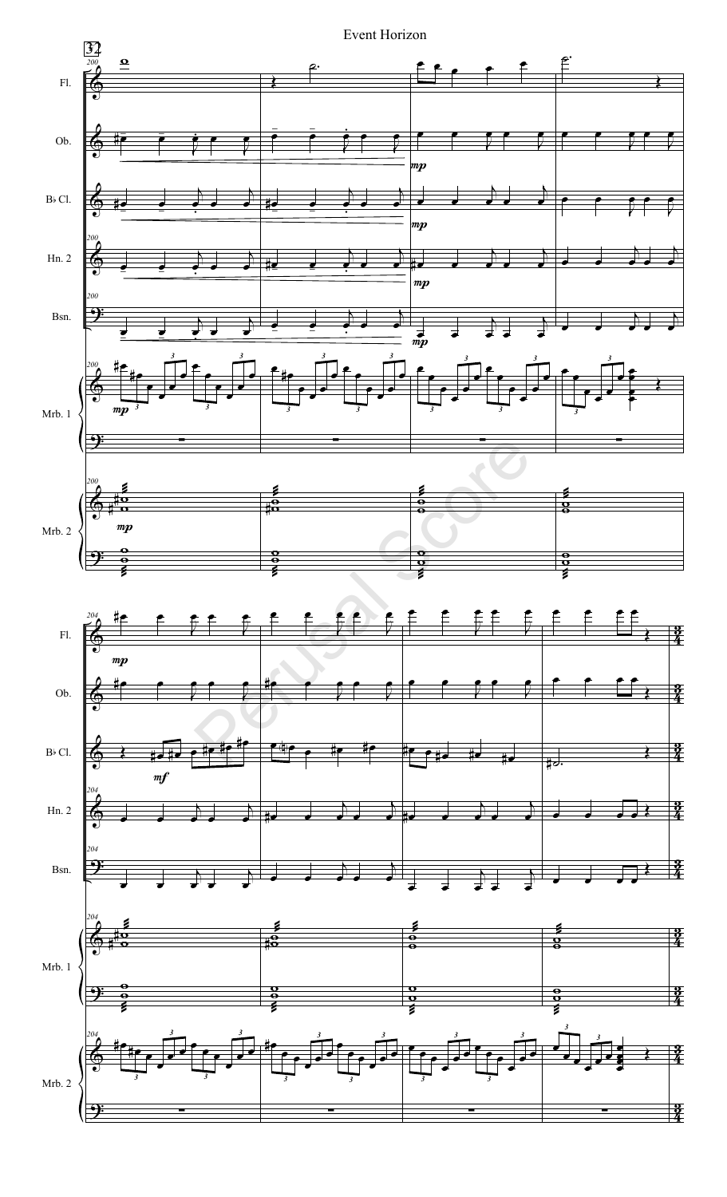![](_page_31_Figure_0.jpeg)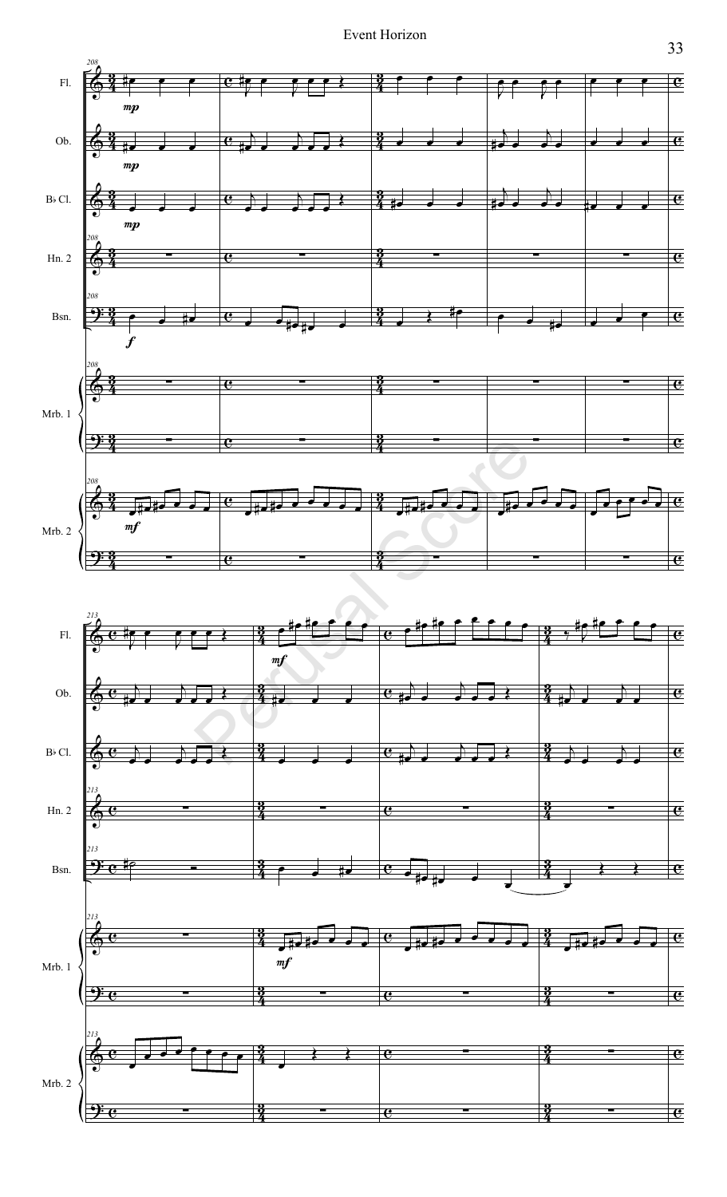![](_page_32_Figure_1.jpeg)

![](_page_32_Figure_2.jpeg)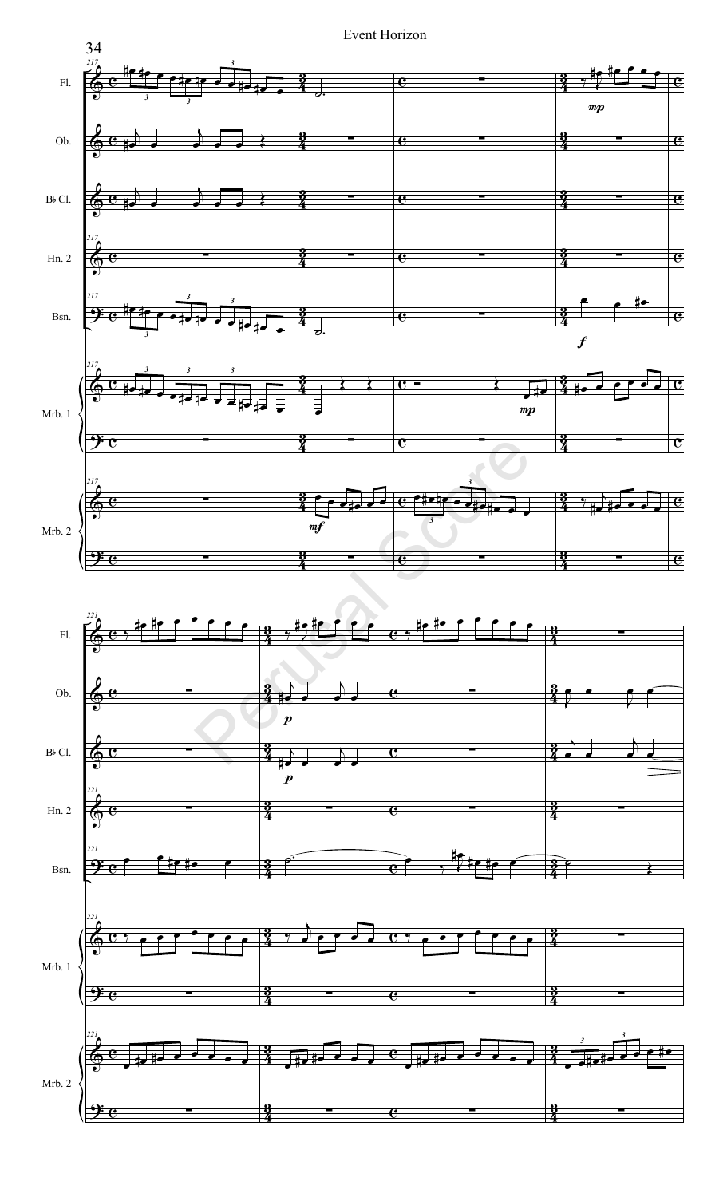![](_page_33_Figure_0.jpeg)

![](_page_33_Figure_1.jpeg)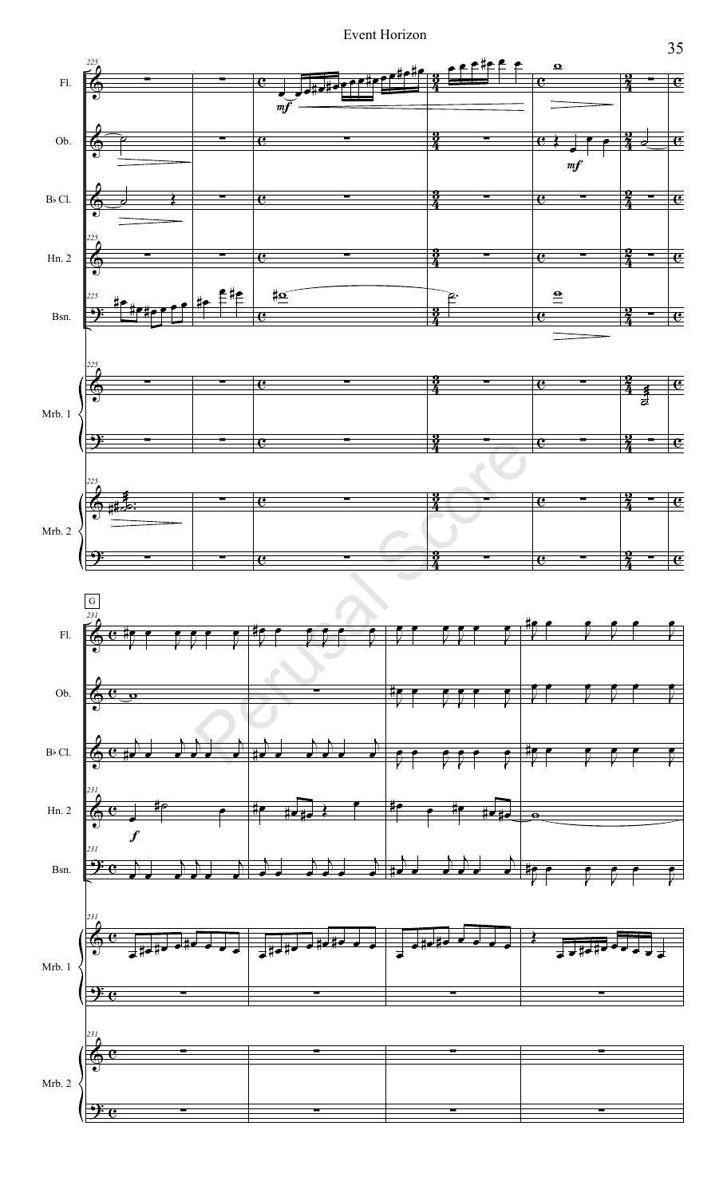![](_page_34_Figure_1.jpeg)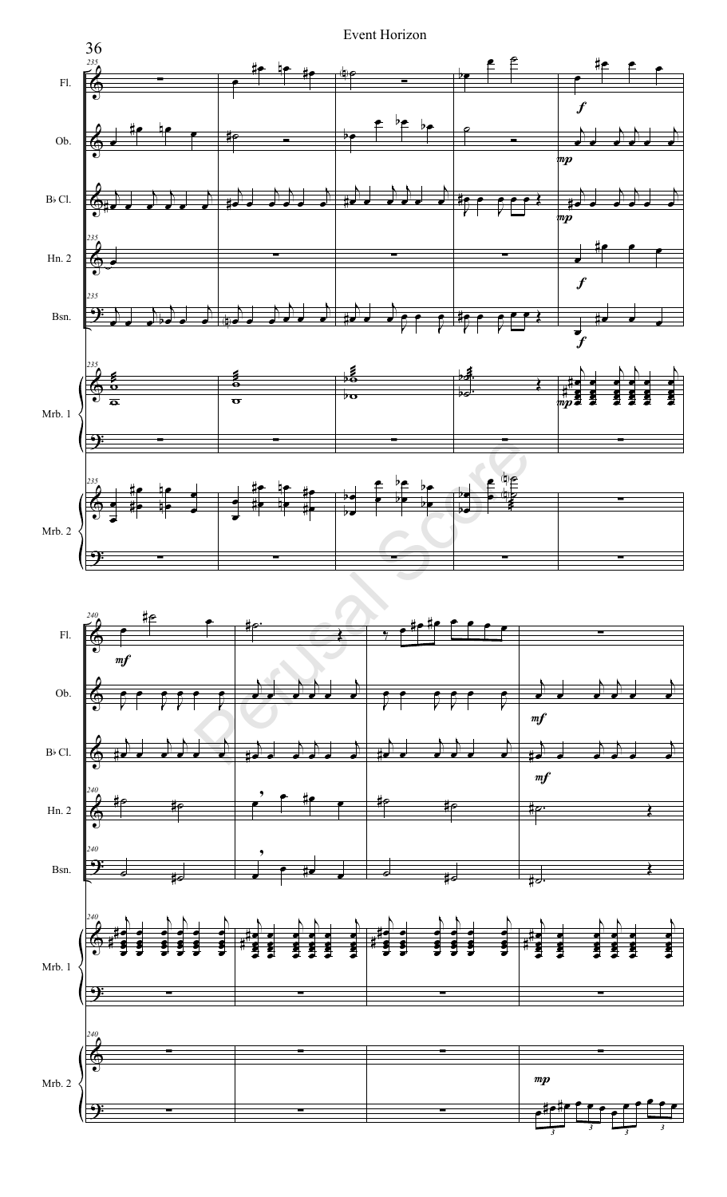Event Horizon

![](_page_35_Figure_1.jpeg)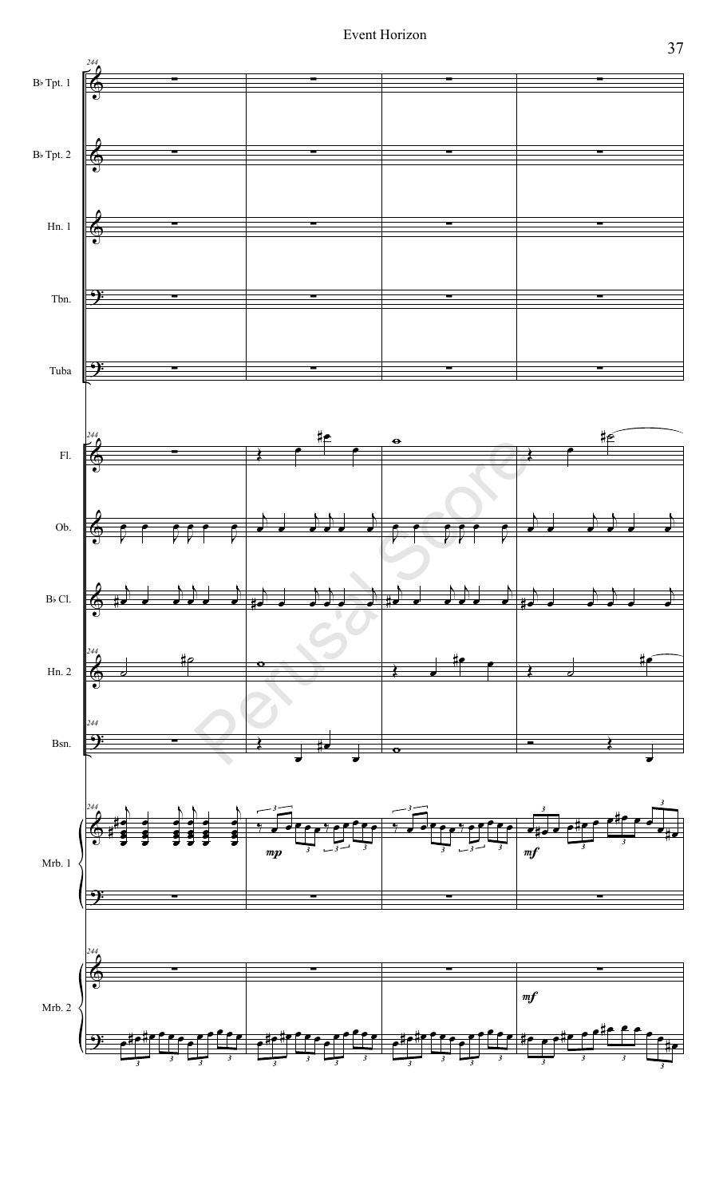![](_page_36_Figure_1.jpeg)